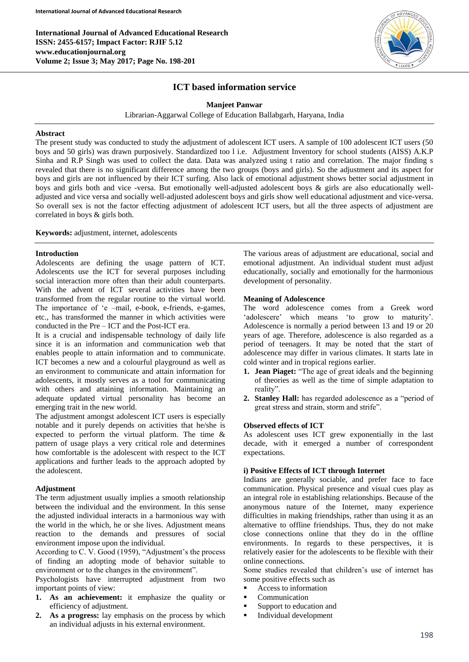

# **ICT based information service**

**Manjeet Panwar**

Librarian-Aggarwal College of Education Ballabgarh, Haryana, India

# **Abstract**

The present study was conducted to study the adjustment of adolescent ICT users. A sample of 100 adolescent ICT users (50 boys and 50 girls) was drawn purposively. Standardized too l i.e. Adjustment Inventory for school students (AISS) A.K.P Sinha and R.P Singh was used to collect the data. Data was analyzed using t ratio and correlation. The major finding s revealed that there is no significant difference among the two groups (boys and girls). So the adjustment and its aspect for boys and girls are not influenced by their ICT surfing. Also lack of emotional adjustment shows better social adjustment in boys and girls both and vice -versa. But emotionally well-adjusted adolescent boys & girls are also educationally welladjusted and vice versa and socially well-adjusted adolescent boys and girls show well educational adjustment and vice-versa. So overall sex is not the factor effecting adjustment of adolescent ICT users, but all the three aspects of adjustment are correlated in boys & girls both.

**Keywords:** adjustment, internet, adolescents

# **Introduction**

Adolescents are defining the usage pattern of ICT. Adolescents use the ICT for several purposes including social interaction more often than their adult counterparts. With the advent of ICT several activities have been transformed from the regular routine to the virtual world. The importance of 'e –mail, e-book, e-friends, e-games, etc., has transformed the manner in which activities were conducted in the Pre – ICT and the Post-ICT era.

It is a crucial and indispensable technology of daily life since it is an information and communication web that enables people to attain information and to communicate. ICT becomes a new and a colourful playground as well as an environment to communicate and attain information for adolescents, it mostly serves as a tool for communicating with others and attaining information. Maintaining an adequate updated virtual personality has become an emerging trait in the new world.

The adjustment amongst adolescent ICT users is especially notable and it purely depends on activities that he/she is expected to perform the virtual platform. The time & pattern of usage plays a very critical role and determines how comfortable is the adolescent with respect to the ICT applications and further leads to the approach adopted by the adolescent.

# **Adjustment**

The term adjustment usually implies a smooth relationship between the individual and the environment. In this sense the adjusted individual interacts in a harmonious way with the world in the which, he or she lives. Adjustment means reaction to the demands and pressures of social environment impose upon the individual.

According to C. V. Good (1959), "Adjustment's the process of finding an adopting mode of behavior suitable to environment or to the changes in the environment".

Psychologists have interrupted adjustment from two important points of view:

- **1. As an achievement:** it emphasize the quality or efficiency of adjustment.
- **2. As a progress:** lay emphasis on the process by which an individual adjusts in his external environment.

The various areas of adjustment are educational, social and emotional adjustment. An individual student must adjust educationally, socially and emotionally for the harmonious development of personality.

# **Meaning of Adolescence**

The word adolescence comes from a Greek word 'adolescere' which means 'to grow to maturity'. Adolescence is normally a period between 13 and 19 or 20 years of age. Therefore, adolescence is also regarded as a period of teenagers. It may be noted that the start of adolescence may differ in various climates. It starts late in cold winter and in tropical regions earlier.

- **1. Jean Piaget:** "The age of great ideals and the beginning of theories as well as the time of simple adaptation to reality".
- **2. Stanley Hall:** has regarded adolescence as a "period of great stress and strain, storm and strife".

# **Observed effects of ICT**

As adolescent uses ICT grew exponentially in the last decade, with it emerged a number of correspondent expectations.

# **i) Positive Effects of ICT through Internet**

Indians are generally sociable, and prefer face to face communication. Physical presence and visual cues play as an integral role in establishing relationships. Because of the anonymous nature of the Internet, many experience difficulties in making friendships, rather than using it as an alternative to offline friendships. Thus, they do not make close connections online that they do in the offline environments. In regards to these perspectives, it is relatively easier for the adolescents to be flexible with their online connections.

Some studies revealed that children's use of internet has some positive effects such as

- Access to information
- Communication
- **Support to education and**
- **Individual development**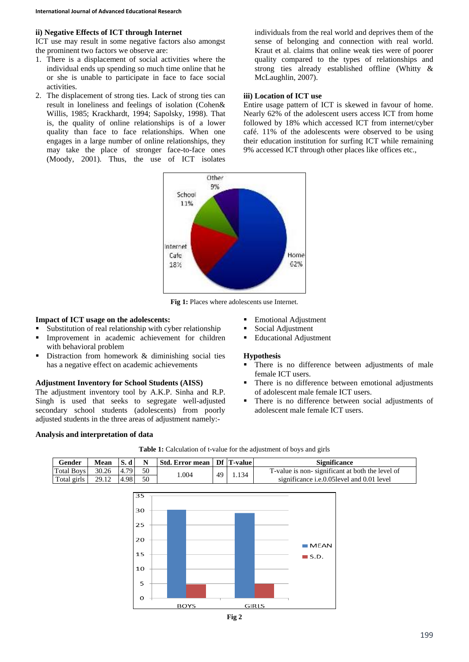#### **ii) Negative Effects of ICT through Internet**

ICT use may result in some negative factors also amongst the prominent two factors we observe are:

- 1. There is a displacement of social activities where the individual ends up spending so much time online that he or she is unable to participate in face to face social activities.
- 2. The displacement of strong ties. Lack of strong ties can result in loneliness and feelings of isolation (Cohen& Willis, 1985; Krackhardt, 1994; Sapolsky, 1998). That is, the quality of online relationships is of a lower quality than face to face relationships. When one engages in a large number of online relationships, they may take the place of stronger face-to-face ones (Moody, 2001). Thus, the use of ICT isolates

individuals from the real world and deprives them of the sense of belonging and connection with real world. Kraut et al. claims that online weak ties were of poorer quality compared to the types of relationships and strong ties already established offline (Whitty & McLaughlin, 2007).

# **iii) Location of ICT use**

Entire usage pattern of ICT is skewed in favour of home. Nearly 62% of the adolescent users access ICT from home followed by 18% which accessed ICT from internet/cyber café. 11% of the adolescents were observed to be using their education institution for surfing ICT while remaining 9% accessed ICT through other places like offices etc.,



**Fig 1:** Places where adolescents use Internet.

#### **Impact of ICT usage on the adolescents:**

- Substitution of real relationship with cyber relationship
- Improvement in academic achievement for children with behavioral problem
- Distraction from homework & diminishing social ties has a negative effect on academic achievements

#### **Adjustment Inventory for School Students (AISS)**

The adjustment inventory tool by A.K.P. Sinha and R.P. Singh is used that seeks to segregate well-adjusted secondary school students (adolescents) from poorly adjusted students in the three areas of adjustment namely:-

- **Emotional Adjustment**
- Social Adjustment
- **Educational Adjustment**

#### **Hypothesis**

- There is no difference between adjustments of male female ICT users.
- There is no difference between emotional adjustments of adolescent male female ICT users.
- There is no difference between social adjustments of adolescent male female ICT users.

#### **Analysis and interpretation of data**





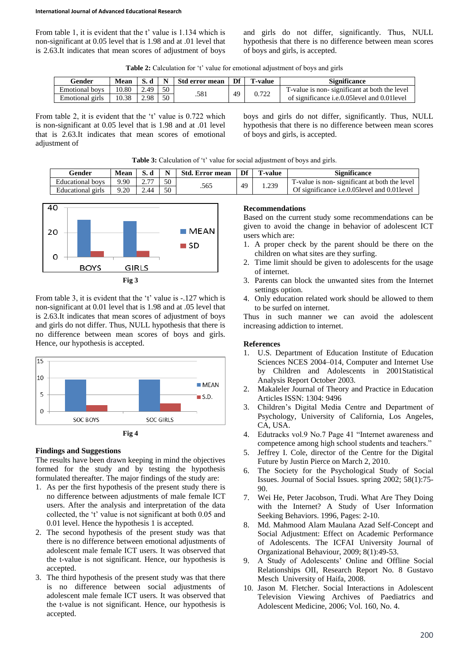From table 1, it is evident that the t' value is 1.134 which is non-significant at 0.05 level that is 1.98 and at .01 level that is 2.63.It indicates that mean scores of adjustment of boys and girls do not differ, significantly. Thus, NULL hypothesis that there is no difference between mean scores of boys and girls, is accepted.

**Table 2:** Calculation for 't' value for emotional adjustment of boys and girls

| <b>Gender</b>   | <b>Mean</b> |      | $\mathbf{v}$ | Std error mean | Df | ı -value | Significance                                  |
|-----------------|-------------|------|--------------|----------------|----|----------|-----------------------------------------------|
| Emotional boys  | 10.80       | 49   | 50           | .581           | 49 | በ 722    | T-value is non-significant at both the level  |
| Emotional girls | 10.38       | 2.98 | 50           |                |    |          | of significance i.e.0.05 level and 0.01 level |

From table 2, it is evident that the 't' value is 0.722 which is non-significant at 0.05 level that is 1.98 and at .01 level that is 2.63.It indicates that mean scores of emotional adjustment of

boys and girls do not differ, significantly. Thus, NULL hypothesis that there is no difference between mean scores of boys and girls, is accepted.

Table 3: Calculation of 't' value for social adjustment of boys and girls.

| Gender            | <b>Mean</b> |      |    | <b>Std. Error mean</b> | Df | `-value        | <b>Significance</b>                                  |
|-------------------|-------------|------|----|------------------------|----|----------------|------------------------------------------------------|
| Educational boys  | 9.90        |      | 50 | .565                   | 49 | $4.23^{\circ}$ | T-value is non-significant at both the level         |
| Educational girls | 9.20        | 2.44 | 50 |                        |    |                | Of significance <i>i.e.0.05</i> level and 0.01 level |



From table 3, it is evident that the 't' value is -.127 which is non-significant at 0.01 level that is 1.98 and at .05 level that is 2.63.It indicates that mean scores of adjustment of boys and girls do not differ. Thus, NULL hypothesis that there is no difference between mean scores of boys and girls. Hence, our hypothesis is accepted.



# **Findings and Suggestions**

The results have been drawn keeping in mind the objectives formed for the study and by testing the hypothesis formulated thereafter. The major findings of the study are:

- 1. As per the first hypothesis of the present study there is no difference between adjustments of male female ICT users. After the analysis and interpretation of the data collected, the 't' value is not significant at both 0.05 and 0.01 level. Hence the hypothesis 1 is accepted.
- 2. The second hypothesis of the present study was that there is no difference between emotional adjustments of adolescent male female ICT users. It was observed that the t-value is not significant. Hence, our hypothesis is accepted.
- 3. The third hypothesis of the present study was that there is no difference between social adjustments of adolescent male female ICT users. It was observed that the t-value is not significant. Hence, our hypothesis is accepted.

# **Recommendations**

Based on the current study some recommendations can be given to avoid the change in behavior of adolescent ICT users which are:

- 1. A proper check by the parent should be there on the children on what sites are they surfing.
- 2. Time limit should be given to adolescents for the usage of internet.
- 3. Parents can block the unwanted sites from the Internet settings option.
- 4. Only education related work should be allowed to them to be surfed on internet.

Thus in such manner we can avoid the adolescent increasing addiction to internet.

# **References**

- 1. U.S. Department of Education Institute of Education Sciences NCES 2004–014, Computer and Internet Use by Children and Adolescents in 2001Statistical Analysis Report October 2003.
- 2. Makaleler Journal of Theory and Practice in Education Articles ISSN: 1304: 9496
- 3. Children's Digital Media Centre and Department of Psychology, University of California, Los Angeles, CA, USA.
- 4. Edutracks vol.9 No.7 Page 41 "Internet awareness and competence among high school students and teachers."
- 5. Jeffrey I. Cole, director of the Centre for the Digital Future by Justin Pierce on March 2, 2010.
- 6. The Society for the Psychological Study of Social Issues. Journal of Social Issues. spring 2002; 58(1):75-  $90^{\circ}$
- 7. Wei He, Peter Jacobson, Trudi. What Are They Doing with the Internet? A Study of User Information Seeking Behaviors. 1996, Pages: 2-10.
- Md. Mahmood Alam Maulana Azad Self-Concept and Social Adjustment: Effect on Academic Performance of Adolescents. The ICFAI University Journal of Organizational Behaviour, 2009; 8(1):49-53.
- 9. A Study of Adolescents' Online and Offline Social Relationships OII, Research Report No. 8 Gustavo Mesch University of Haifa, 2008.
- 10. Jason M. Fletcher. Social Interactions in Adolescent Television Viewing Archives of Paediatrics and Adolescent Medicine, 2006; Vol. 160, No. 4.